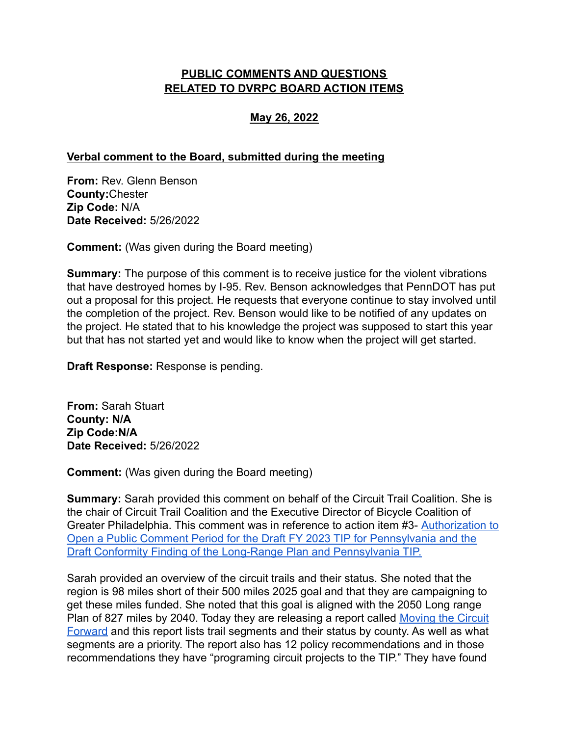## **PUBLIC COMMENTS AND QUESTIONS RELATED TO DVRPC BOARD ACTION ITEMS**

## **May 26, 2022**

## **Verbal comment to the Board, submitted during the meeting**

**From:** Rev. Glenn Benson **County:**Chester **Zip Code:** N/A **Date Received:** 5/26/2022

**Comment:** (Was given during the Board meeting)

**Summary:** The purpose of this comment is to receive justice for the violent vibrations that have destroyed homes by I-95. Rev. Benson acknowledges that PennDOT has put out a proposal for this project. He requests that everyone continue to stay involved until the completion of the project. Rev. Benson would like to be notified of any updates on the project. He stated that to his knowledge the project was supposed to start this year but that has not started yet and would like to know when the project will get started.

**Draft Response:** Response is pending.

**From:** Sarah Stuart **County: N/A Zip Code:N/A Date Received:** 5/26/2022

**Comment:** (Was given during the Board meeting)

**Summary:** Sarah provided this comment on behalf of the Circuit Trail Coalition. She is the chair of Circuit Trail Coalition and the Executive Director of Bicycle Coalition of Greater Philadelphia. This comment was in reference to action item #3- [Authorization to](https://www.dvrpc.org/asp/boardcomment/detail.asp?id=3585) [Open a Public Comment Period for the Draft FY 2023 TIP for Pennsylvania and the](https://www.dvrpc.org/asp/boardcomment/detail.asp?id=3585) [Draft Conformity Finding of the Long-Range Plan and Pennsylvania TIP.](https://www.dvrpc.org/asp/boardcomment/detail.asp?id=3585)

Sarah provided an overview of the circuit trails and their status. She noted that the region is 98 miles short of their 500 miles 2025 goal and that they are campaigning to get these miles funded. She noted that this goal is aligned with the 2050 Long range Plan of 827 miles by 2040. Today they are releasing a report called [Moving the Circuit](https://bicyclecoalition.org/join-the-500-miles-by-2025-campaign-to-move-the-circuit-forward/) [Forward](https://bicyclecoalition.org/join-the-500-miles-by-2025-campaign-to-move-the-circuit-forward/) and this report lists trail segments and their status by county. As well as what segments are a priority. The report also has 12 policy recommendations and in those recommendations they have "programing circuit projects to the TIP." They have found